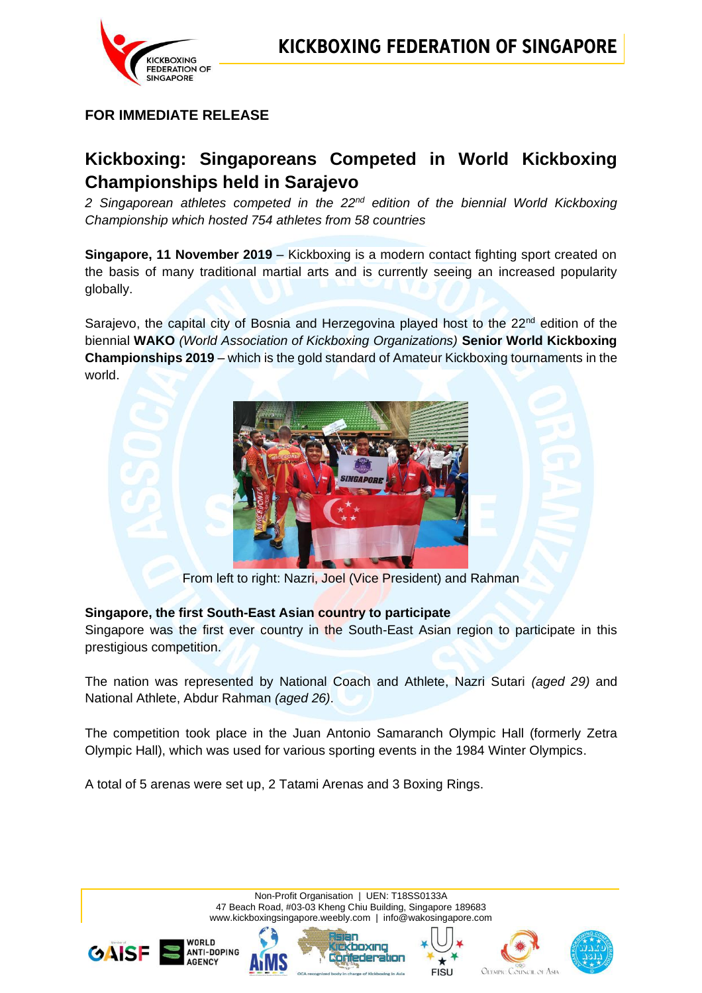

# **FOR IMMEDIATE RELEASE**

# **Kickboxing: Singaporeans Competed in World Kickboxing Championships held in Sarajevo**

*2 Singaporean athletes competed in the 22nd edition of the biennial World Kickboxing Championship which hosted 754 athletes from 58 countries* 

**Singapore, 11 November 2019** – Kickboxing is a modern contact fighting sport created on the basis of many traditional martial arts and is currently seeing an increased popularity globally.

Sarajevo, the capital city of Bosnia and Herzegovina played host to the  $22<sup>nd</sup>$  edition of the biennial **WAKO** *(World Association of Kickboxing Organizations)* **Senior World Kickboxing Championships 2019** – which is the gold standard of Amateur Kickboxing tournaments in the world.



From left to right: Nazri, Joel (Vice President) and Rahman

#### **Singapore, the first South-East Asian country to participate**

Singapore was the first ever country in the South-East Asian region to participate in this prestigious competition.

The nation was represented by National Coach and Athlete, Nazri Sutari *(aged 29)* and National Athlete, Abdur Rahman *(aged 26)*.

The competition took place in the Juan Antonio Samaranch Olympic Hall (formerly Zetra Olympic Hall), which was used for various sporting events in the 1984 Winter Olympics.

A total of 5 arenas were set up, 2 Tatami Arenas and 3 Boxing Rings.

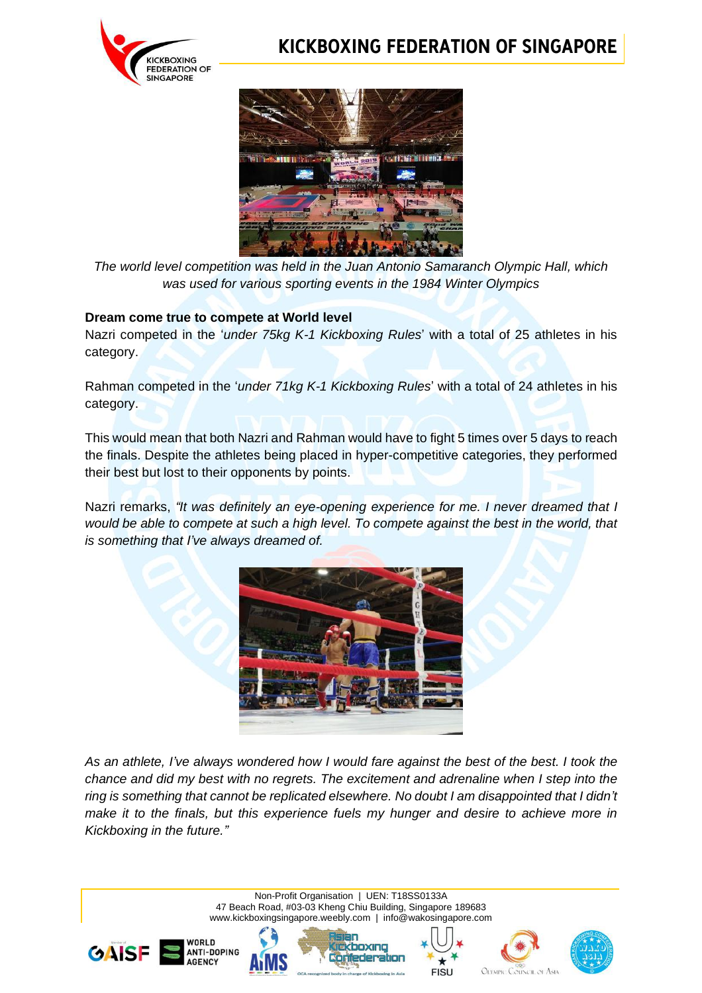

# **KICKBOXING FEDERATION OF SINGAPORE**



*The world level competition was held in the Juan Antonio Samaranch Olympic Hall, which was used for various sporting events in the 1984 Winter Olympics*

### **Dream come true to compete at World level**

Nazri competed in the '*under 75kg K-1 Kickboxing Rules*' with a total of 25 athletes in his category.

Rahman competed in the '*under 71kg K-1 Kickboxing Rules*' with a total of 24 athletes in his category.

This would mean that both Nazri and Rahman would have to fight 5 times over 5 days to reach the finals. Despite the athletes being placed in hyper-competitive categories, they performed their best but lost to their opponents by points.

Nazri remarks, *"It was definitely an eye-opening experience for me. I never dreamed that I would be able to compete at such a high level. To compete against the best in the world, that is something that I've always dreamed of.*



*As an athlete, I've always wondered how I would fare against the best of the best. I took the chance and did my best with no regrets. The excitement and adrenaline when I step into the ring is something that cannot be replicated elsewhere. No doubt I am disappointed that I didn't make it to the finals, but this experience fuels my hunger and desire to achieve more in Kickboxing in the future."*

> Non-Profit Organisation | UEN: T18SS0133A 47 Beach Road, #03-03 Kheng Chiu Building, Singapore 189683 www.kickboxingsingapore.weebly.com | [info@wakosingapore.com](mailto:info@wakosingapore.com)

> > boxin

**Meder:** 







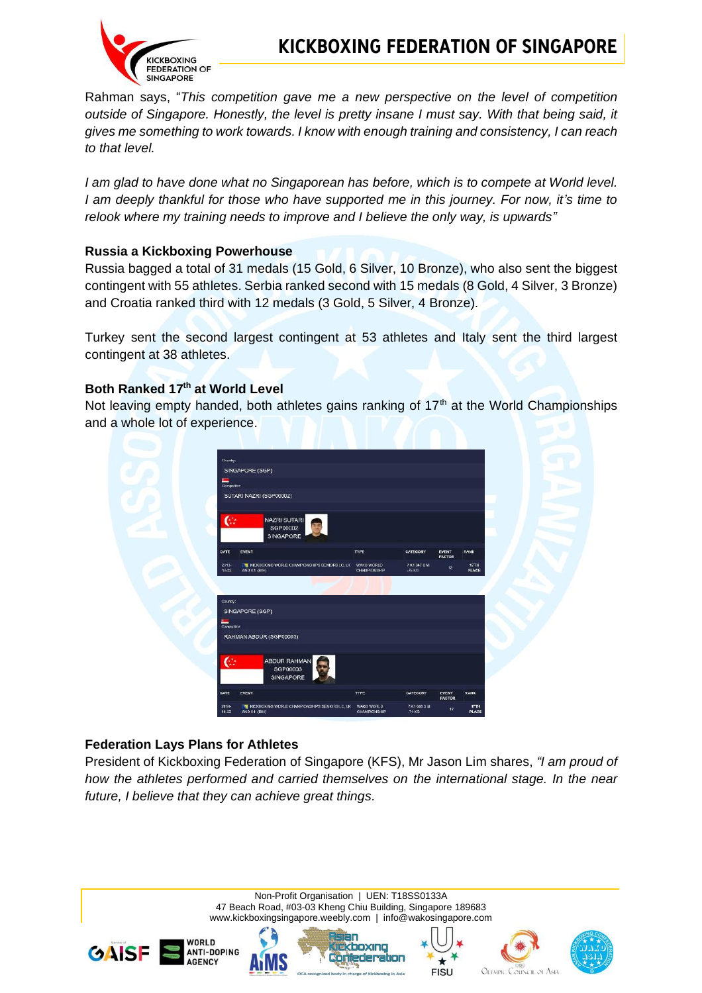

Rahman says, "*This competition gave me a new perspective on the level of competition outside of Singapore. Honestly, the level is pretty insane I must say. With that being said, it gives me something to work towards. I know with enough training and consistency, I can reach to that level.*

*I am glad to have done what no Singaporean has before, which is to compete at World level. I am deeply thankful for those who have supported me in this journey. For now, it's time to relook where my training needs to improve and I believe the only way, is upwards"*

### **Russia a Kickboxing Powerhouse**

Russia bagged a total of 31 medals (15 Gold, 6 Silver, 10 Bronze), who also sent the biggest contingent with 55 athletes. Serbia ranked second with 15 medals (8 Gold, 4 Silver, 3 Bronze) and Croatia ranked third with 12 medals (3 Gold, 5 Silver, 4 Bronze).

Turkey sent the second largest contingent at 53 athletes and Italy sent the third largest contingent at 38 athletes.

# **Both Ranked 17th at World Level**

Not leaving empty handed, both athletes gains ranking of  $17<sup>th</sup>$  at the World Championships and a whole lot of experience.



### **Federation Lays Plans for Athletes**

President of Kickboxing Federation of Singapore (KFS), Mr Jason Lim shares, *"I am proud of how the athletes performed and carried themselves on the international stage. In the near future, I believe that they can achieve great things.*

> Non-Profit Organisation | UEN: T18SS0133A 47 Beach Road, #03-03 Kheng Chiu Building, Singapore 189683 www.kickboxingsingapore.weebly.com | [info@wakosingapore.com](mailto:info@wakosingapore.com)









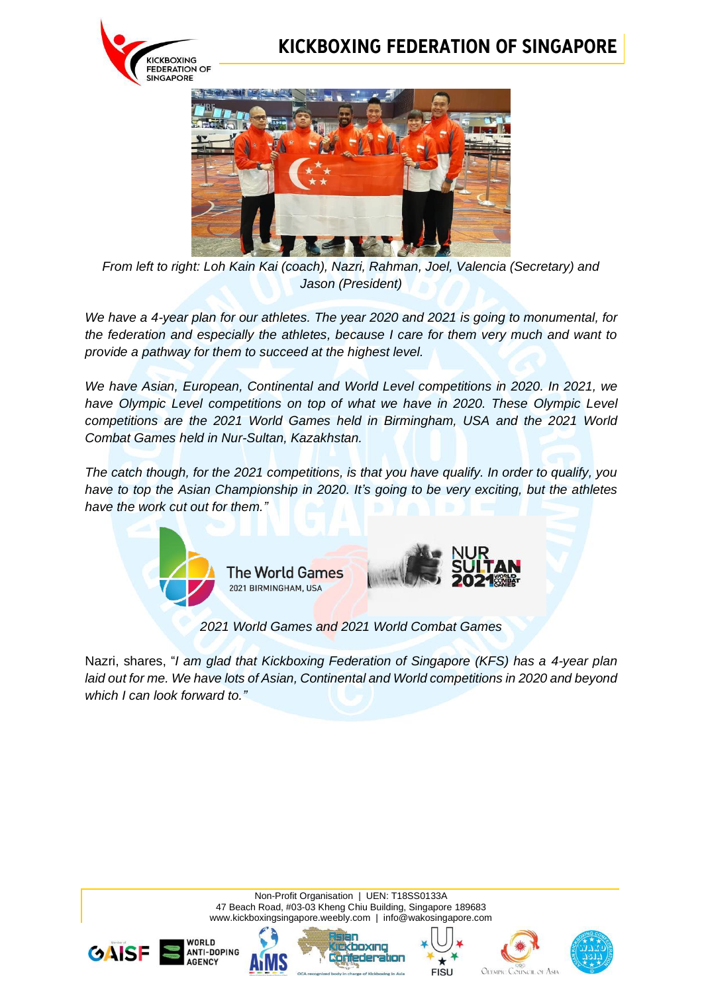

# **KICKBOXING FEDERATION OF SINGAPORE**



*From left to right: Loh Kain Kai (coach), Nazri, Rahman, Joel, Valencia (Secretary) and Jason (President)*

*We have a 4-year plan for our athletes. The year 2020 and 2021 is going to monumental, for the federation and especially the athletes, because I care for them very much and want to provide a pathway for them to succeed at the highest level.*

*We have Asian, European, Continental and World Level competitions in 2020. In 2021, we have Olympic Level competitions on top of what we have in 2020. These Olympic Level competitions are the 2021 World Games held in Birmingham, USA and the 2021 World Combat Games held in Nur-Sultan, Kazakhstan.*

*The catch though, for the 2021 competitions, is that you have qualify. In order to qualify, you have to top the Asian Championship in 2020. It's going to be very exciting, but the athletes have the work cut out for them."*



*2021 World Games and 2021 World Combat Games*

Nazri, shares, "*I am glad that Kickboxing Federation of Singapore (KFS) has a 4-year plan laid out for me. We have lots of Asian, Continental and World competitions in 2020 and beyond which I can look forward to."*

> Non-Profit Organisation | UEN: T18SS0133A 47 Beach Road, #03-03 Kheng Chiu Building, Singapore 189683 www.kickboxingsingapore.weebly.com | [info@wakosingapore.com](mailto:info@wakosingapore.com)